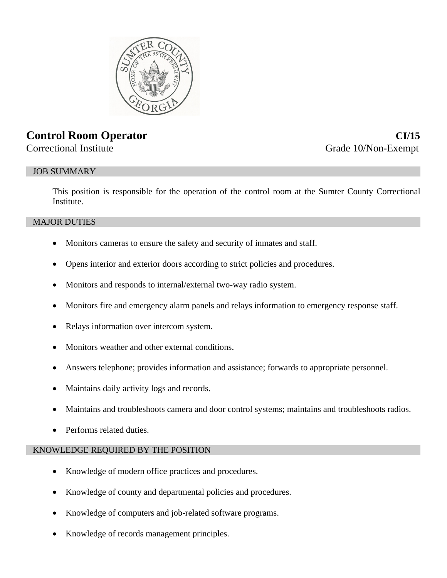

# **Control Room Operator CI/15**

# Correctional Institute Grade 10/Non-Exempt

# JOB SUMMARY

This position is responsible for the operation of the control room at the Sumter County Correctional Institute.

# MAJOR DUTIES

- Monitors cameras to ensure the safety and security of inmates and staff.
- Opens interior and exterior doors according to strict policies and procedures.
- Monitors and responds to internal/external two-way radio system.
- Monitors fire and emergency alarm panels and relays information to emergency response staff.
- Relays information over intercom system.
- Monitors weather and other external conditions.
- Answers telephone; provides information and assistance; forwards to appropriate personnel.
- Maintains daily activity logs and records.
- Maintains and troubleshoots camera and door control systems; maintains and troubleshoots radios.
- Performs related duties.

# KNOWLEDGE REQUIRED BY THE POSITION

- Knowledge of modern office practices and procedures.
- Knowledge of county and departmental policies and procedures.
- Knowledge of computers and job-related software programs.
- Knowledge of records management principles.